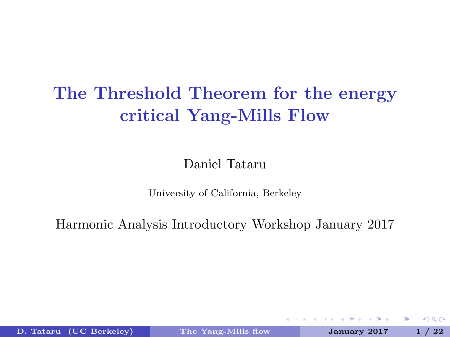# <span id="page-0-1"></span>The Threshold Theorem for the energy critical Yang-Mills Flow

### Daniel Tataru

University of California, Berkeley

Harmonic Analysis Introductory Workshop January 2017

D. Tataru (UC Berkeley) The Yang-Mills flow January 2017 1 / 22

4 **E** F

<span id="page-0-0"></span>÷.  $\Omega$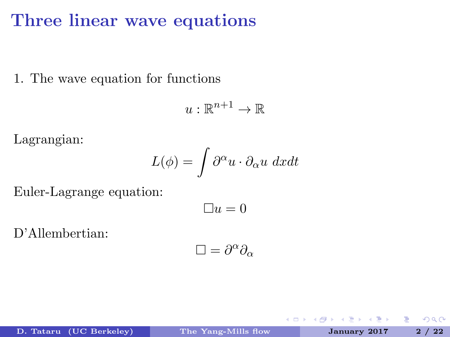### Three linear wave equations

1. The wave equation for functions

$$
u:\mathbb{R}^{n+1}\to\mathbb{R}
$$

Lagrangian:

$$
L(\phi) = \int \partial^{\alpha} u \cdot \partial_{\alpha} u \ dx dt
$$

Euler-Lagrange equation:

$$
\Box u=0
$$

D'Allembertian:

$$
\Box = \partial^\alpha \partial_\alpha
$$

4 D F

Þ

<span id="page-1-0"></span> $QQ$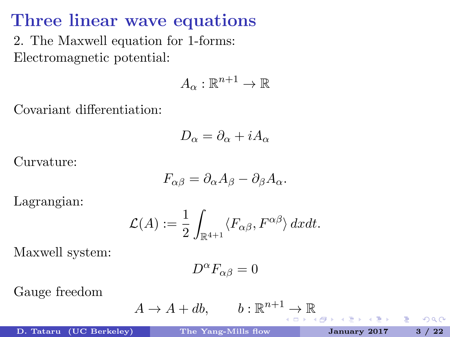# Three linear wave equations

2. The Maxwell equation for 1-forms: Electromagnetic potential:

$$
A_{\alpha} : \mathbb{R}^{n+1} \to \mathbb{R}
$$

Covariant differentiation:

$$
D_{\alpha} = \partial_{\alpha} + iA_{\alpha}
$$

Curvature:

$$
F_{\alpha\beta}=\partial_\alpha A_\beta-\partial_\beta A_\alpha.
$$

Lagrangian:

$$
\mathcal{L}(A) := \frac{1}{2} \int_{\mathbb{R}^{4+1}} \langle F_{\alpha\beta}, F^{\alpha\beta} \rangle dx dt.
$$

Maxwell system:

$$
D^{\alpha}F_{\alpha\beta}=0
$$

Gauge freedom

$$
A \to A + db, \qquad b: \mathbb{R}^{n+1} \to \mathbb{R}
$$

D. Tataru (UC Berkeley) [The Yang-Mills flow](#page-0-0) January 2017 3 / 22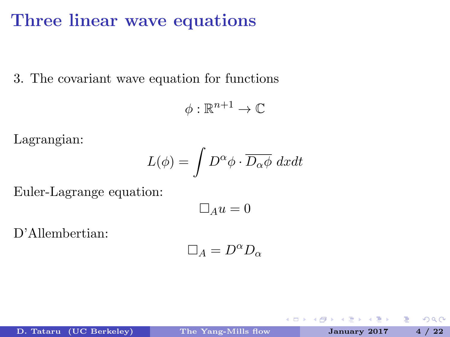### Three linear wave equations

3. The covariant wave equation for functions

$$
\phi:\mathbb{R}^{n+1}\to\mathbb{C}
$$

Lagrangian:

$$
L(\phi) = \int D^{\alpha} \phi \cdot \overline{D_{\alpha} \phi} \ dx dt
$$

Euler-Lagrange equation:

$$
\Box_A u = 0
$$

D'Allembertian:

$$
\Box_A = D^{\alpha} D_{\alpha}
$$

4 **E** F

<span id="page-3-0"></span>Þ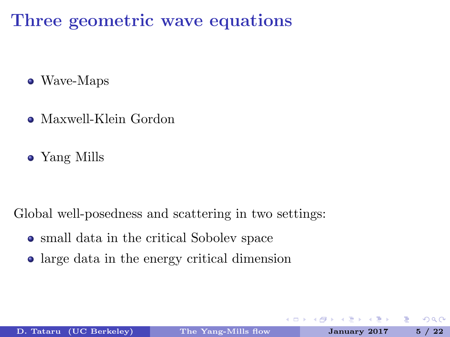Three geometric wave equations

- Wave-Maps
- Maxwell-Klein Gordon
- Yang Mills

Global well-posedness and scattering in two settings:

- small data in the critical Sobolev space
- large data in the energy critical dimension

 $\leftarrow$ 

<span id="page-4-0"></span>Þ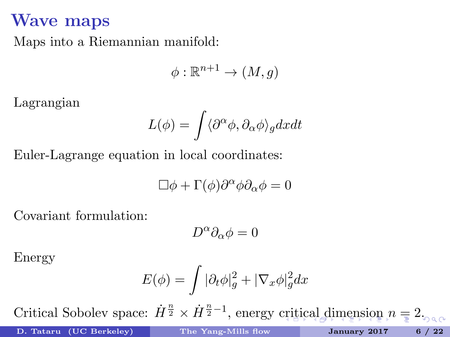### Wave maps

Maps into a Riemannian manifold:

$$
\phi : \mathbb{R}^{n+1} \to (M, g)
$$

Lagrangian

$$
L(\phi) = \int \langle \partial^{\alpha} \phi, \partial_{\alpha} \phi \rangle_{g} dxdt
$$

Euler-Lagrange equation in local coordinates:

$$
\Box \phi + \Gamma(\phi) \partial^\alpha \phi \partial_\alpha \phi = 0
$$

Covariant formulation:

<span id="page-5-0"></span>
$$
D^\alpha \partial_\alpha \phi = 0
$$

Energy

$$
E(\phi)=\int |\partial_t \phi|^2_g + |\nabla_x \phi|^2_g dx
$$

Crit[ic](#page-6-0)[a](#page-4-0)l Sobolev space:  $\dot{H}^{\frac{n}{2}} \times \dot{H}^{\frac{n}{2}-1}$  $\dot{H}^{\frac{n}{2}} \times \dot{H}^{\frac{n}{2}-1}$  $\dot{H}^{\frac{n}{2}} \times \dot{H}^{\frac{n}{2}-1}$  $\dot{H}^{\frac{n}{2}} \times \dot{H}^{\frac{n}{2}-1}$  $\dot{H}^{\frac{n}{2}} \times \dot{H}^{\frac{n}{2}-1}$  $\dot{H}^{\frac{n}{2}} \times \dot{H}^{\frac{n}{2}-1}$ , energy [cri](#page-4-0)tica[l d](#page-5-0)ime[ns](#page-0-1)[io](#page-0-0)n  $n = 2$  $n = 2$  $n = 2$ .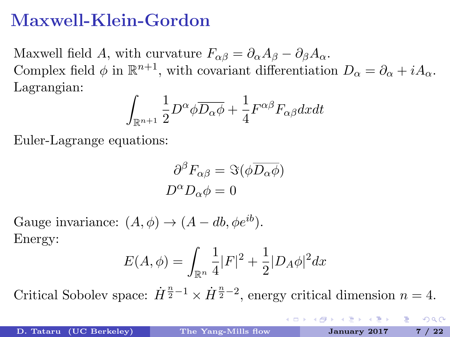# Maxwell-Klein-Gordon

Maxwell field A, with curvature  $F_{\alpha\beta} = \partial_{\alpha}A_{\beta} - \partial_{\beta}A_{\alpha}$ . Complex field  $\phi$  in  $\mathbb{R}^{n+1}$ , with covariant differentiation  $D_{\alpha} = \partial_{\alpha} + iA_{\alpha}$ . Lagrangian:

$$
\int_{\mathbb{R}^{n+1}} \frac{1}{2} D^{\alpha} \phi \overline{D_{\alpha} \phi} + \frac{1}{4} F^{\alpha \beta} F_{\alpha \beta} dxdt
$$

Euler-Lagrange equations:

$$
\frac{\partial^{\beta} F_{\alpha\beta} = \Im(\phi \overline{D_{\alpha} \phi})}{D^{\alpha} D_{\alpha} \phi = 0}
$$

Gauge invariance:  $(A, \phi) \rightarrow (A - db, \phi e^{ib}).$ Energy:

$$
E(A,\phi) = \int_{\mathbb{R}^n} \frac{1}{4} |F|^2 + \frac{1}{2} |D_A \phi|^2 dx
$$

Critical Sobolev space:  $\dot{H}^{\frac{n}{2}-1} \times \dot{H}^{\frac{n}{2}-2}$ , energy critical dimension  $n=4$ .

(□) (母)

<span id="page-6-0"></span>**A BIK Y BIK DE LIKA QUA**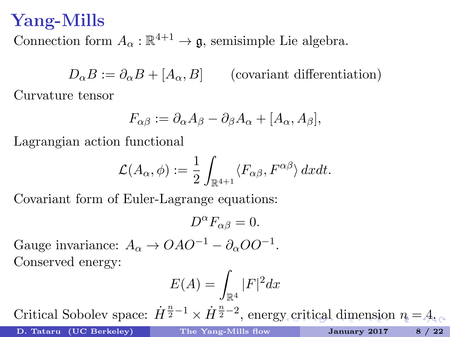### Yang-Mills

Connection form  $A_{\alpha} : \mathbb{R}^{4+1} \to \mathfrak{g}$ , semisimple Lie algebra.

 $D_{\alpha}B := \partial_{\alpha}B + [A_{\alpha}, B]$  (covariant differentiation) Curvature tensor

$$
F_{\alpha\beta} := \partial_{\alpha} A_{\beta} - \partial_{\beta} A_{\alpha} + [A_{\alpha}, A_{\beta}],
$$

Lagrangian action functional

$$
\mathcal{L}(A_{\alpha}, \phi) := \frac{1}{2} \int_{\mathbb{R}^{4+1}} \langle F_{\alpha\beta}, F^{\alpha\beta} \rangle dx dt.
$$

Covariant form of Euler-Lagrange equations:

$$
D^{\alpha}F_{\alpha\beta}=0.
$$

Gauge invariance:  $A_{\alpha} \rightarrow OAO^{-1} - \partial_{\alpha}OO^{-1}$ . Conserved energy:

<span id="page-7-0"></span>
$$
E(A) = \int_{\mathbb{R}^4} |F|^2 dx
$$

C[rit](#page-8-0)[i](#page-6-0)[cal](#page-7-0) Sobolev space:  $\dot{H}^{\frac{n}{2}-1} \times \dot{H}^{\frac{n}{2}-2}$  $\dot{H}^{\frac{n}{2}-1} \times \dot{H}^{\frac{n}{2}-2}$  $\dot{H}^{\frac{n}{2}-1} \times \dot{H}^{\frac{n}{2}-2}$  $\dot{H}^{\frac{n}{2}-1} \times \dot{H}^{\frac{n}{2}-2}$  $\dot{H}^{\frac{n}{2}-1} \times \dot{H}^{\frac{n}{2}-2}$ , energ[y c](#page-6-0)ritical [di](#page-0-0)me[ns](#page-0-0)[ion](#page-0-1)  $n = 4$  $n = 4$  $n = 4$ .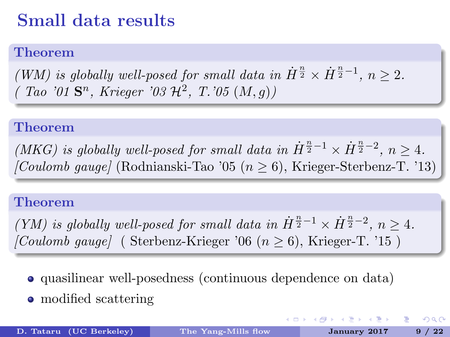# Small data results

### Theorem

(WM) is globally well-posed for small data in  $\dot{H}^{\frac{n}{2}} \times \dot{H}^{\frac{n}{2}-1}$ ,  $n \geq 2$ .  $(Tao' 01 S<sup>n</sup>, Krieger' 03 H<sup>2</sup>, T. 05 (M,g))$ 

#### Theorem

(MKG) is globally well-posed for small data in  $\dot{H}^{\frac{n}{2}-1} \times \dot{H}^{\frac{n}{2}-2}$ ,  $n \geq 4$ . [Coulomb gauge] (Rodnianski-Tao '05 ( $n \geq 6$ ), Krieger-Sterbenz-T. '13)

#### Theorem

(YM) is globally well-posed for small data in  $\dot{H}^{\frac{n}{2}-1} \times \dot{H}^{\frac{n}{2}-2}$ ,  $n \geq 4$ .  $[Coulomb\ gauge]$  (Sterbenz-Krieger '06 ( $n \geq 6$ ), Krieger-T. '15)

- quasilinear well-posedness (continuous dependence on data)
- modified scattering

<span id="page-8-0"></span>K ロ > K 센 > K 호 > K 호 > 시 호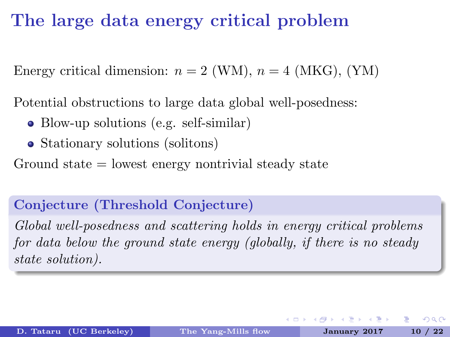# The large data energy critical problem

Energy critical dimension:  $n = 2$  (WM),  $n = 4$  (MKG), (YM)

Potential obstructions to large data global well-posedness:

- Blow-up solutions (e.g. self-similar)
- Stationary solutions (solitons)

Ground state = lowest energy nontrivial steady state

### Conjecture (Threshold Conjecture)

Global well-posedness and scattering holds in energy critical problems for data below the ground state energy (globally, if there is no steady state solution).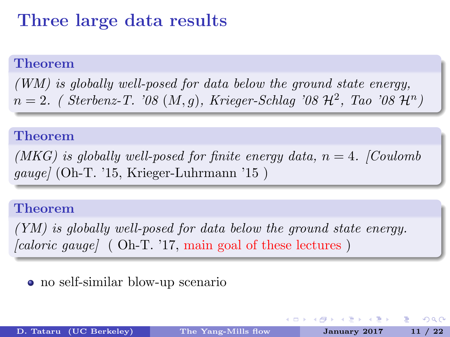# Three large data results

#### Theorem

(WM) is globally well-posed for data below the ground state energy,  $n=2.$  (Sterbenz-T. '08  $(M,g)$ , Krieger-Schlag '08  $\mathcal{H}^2$ , Tao '08  $\mathcal{H}^n$ )

#### Theorem

(MKG) is globally well-posed for finite energy data,  $n = 4$ . [Coulomb] gauge] (Oh-T. '15, Krieger-Luhrmann '15 )

#### Theorem

(YM) is globally well-posed for data below the ground state energy.  $\lceil \text{caloric gauge} \rceil$  ( Oh-T. '17, main goal of these lectures )

### no self-similar blow-up scenario

∢ □ ▶ ≺ n □ ▶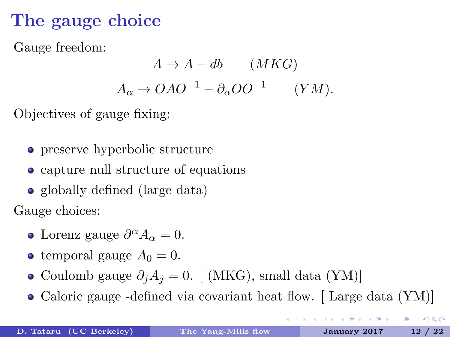# The gauge choice

Gauge freedom:

$$
A \to A - db \qquad (MKG)
$$

$$
A_{\alpha} \to OAO^{-1} - \partial_{\alpha}OO^{-1} \qquad (YM).
$$

Objectives of gauge fixing:

- preserve hyperbolic structure
- capture null structure of equations
- globally defined (large data)

Gauge choices:

- Lorenz gauge  $\partial^{\alpha} A_{\alpha} = 0$ .
- temporal gauge  $A_0 = 0$ .
- Coulomb gauge  $\partial_i A_j = 0$ . [ (MKG), small data (YM)]
- Caloric gauge -defined via covariant heat flow. [Large data (YM)]

医不良 医不全体

(□) (母)

GB 1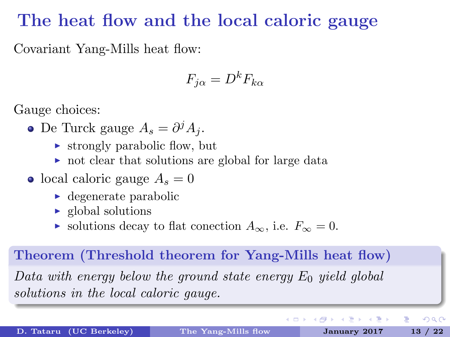### The heat flow and the local caloric gauge

Covariant Yang-Mills heat flow:

$$
F_{j\alpha} = D^k F_{k\alpha}
$$

Gauge choices:

- De Turck gauge  $A_s = \partial^j A_j$ .
	- $\triangleright$  strongly parabolic flow, but
	- $\triangleright$  not clear that solutions are global for large data
- local caloric gauge  $A_s = 0$ 
	- $\blacktriangleright$  degenerate parabolic
	- $\blacktriangleright$  global solutions
	- $\triangleright$  solutions decay to flat conection  $A_{\infty}$ , i.e.  $F_{\infty} = 0$ .

### Theorem (Threshold theorem for Yang-Mills heat flow) Data with energy below the ground state energy  $E_0$  yield global solutions in the local caloric gauge.

D. Tataru (UC Berkeley) [The Yang-Mills flow](#page-0-0) January 2017 13 / 22

 $QQ$ 

÷.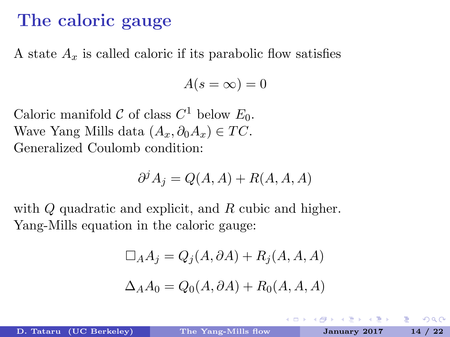### The caloric gauge

A state  $A<sub>x</sub>$  is called caloric if its parabolic flow satisfies

$$
A(s=\infty)=0
$$

Caloric manifold  $\mathcal C$  of class  $C^1$  below  $E_0$ . Wave Yang Mills data  $(A_x, \partial_0 A_x) \in TC$ . Generalized Coulomb condition:

$$
\partial^j A_j = Q(A, A) + R(A, A, A)
$$

with Q quadratic and explicit, and R cubic and higher. Yang-Mills equation in the caloric gauge:

$$
\Box_A A_j = Q_j(A, \partial A) + R_j(A, A, A)
$$
  

$$
\Delta_A A_0 = Q_0(A, \partial A) + R_0(A, A, A)
$$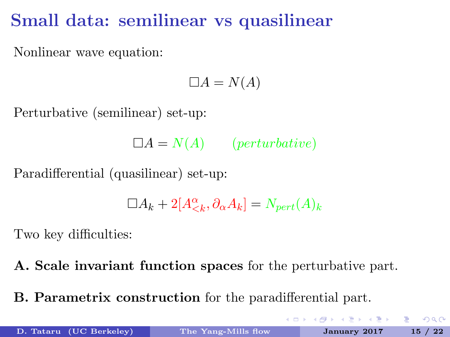# Small data: semilinear vs quasilinear

Nonlinear wave equation:

$$
\Box A = N(A)
$$

Perturbative (semilinear) set-up:

 $\Box A = N(A)$  (*perturbative*)

Paradifferential (quasilinear) set-up:

$$
\Box A_k + 2[A_{
$$

Two key difficulties:

A. Scale invariant function spaces for the perturbative part.

B. Parametrix construction for the paradifferential part.

**K ロ ▶ | K 母 ▶ | K ヨ ▶ | K ヨ ▶ |**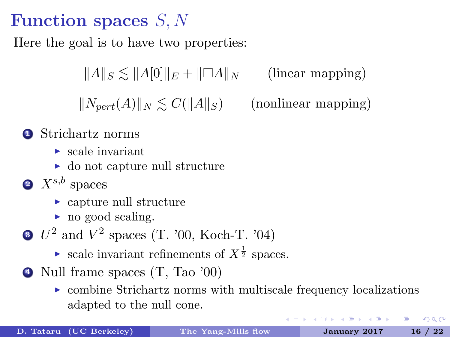# Function spaces S, N

Here the goal is to have two properties:

 $\|A\|_{\mathcal{S}} \leq \|A[0]\|_E + \|\Box A\|_N$  (linear mapping)  $||N_{\text{pert}}(A)||_N \leq C(||A||_S)$  (nonlinear mapping)

- **1** Strichartz norms
	- $\blacktriangleright$  scale invariant
	- $\triangleright$  do not capture null structure
- $2 X^{s,b}$  spaces
	- $\triangleright$  capture null structure
	- $\blacktriangleright$  no good scaling.
- $3 \, U^2$  and  $V^2$  spaces (T. '00, Koch-T. '04)
	- ightharpoonup scale invariant refinements of  $X^{\frac{1}{2}}$  spaces.
- <span id="page-15-0"></span><sup>4</sup> Null frame spaces (T, Tao '00)
	- $\triangleright$  combine Strichartz norms with multiscale frequency localizations adapted to the null cone.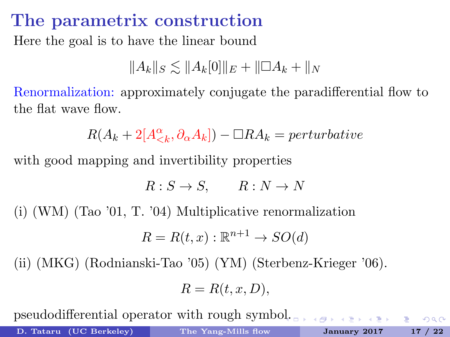### The parametrix construction

Here the goal is to have the linear bound

$$
||A_k||_S \lesssim ||A_k[0]||_E + ||\Box A_k + ||_N
$$

Renormalization: approximately conjugate the paradifferential flow to the flat wave flow.

 $R(A_k + 2[A_{\lt k}^{\alpha}, \partial_{\alpha}A_k]) - \Box RA_k = perturbative$ 

with good mapping and invertibility properties

$$
R: S \to S, \qquad R: N \to N
$$

(i) (WM) (Tao '01, T. '04) Multiplicative renormalization

$$
R = R(t, x) : \mathbb{R}^{n+1} \to SO(d)
$$

(ii) (MKG) (Rodnianski-Tao '05) (YM) (Sterbenz-Krieger '06).

$$
R = R(t, x, D),
$$

pseudodifferential operator with rough symb[ol.](#page-15-0)

D. Tataru (UC Berkeley) [The Yang-Mills flow](#page-0-0) January 2017 17 / 22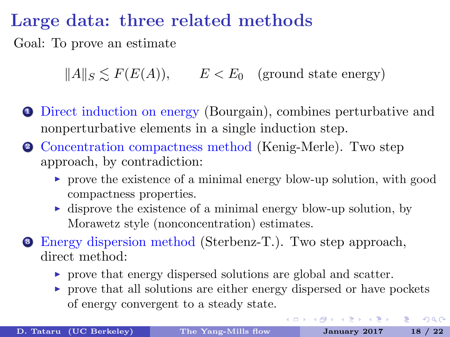# Large data: three related methods

Goal: To prove an estimate

 $\|A\|_{S} \leq F(E(A)), \qquad E < E_0 \quad \text{(ground state energy)}$ 

- <sup>1</sup> Direct induction on energy (Bourgain), combines perturbative and nonperturbative elements in a single induction step.
- <sup>2</sup> Concentration compactness method (Kenig-Merle). Two step approach, by contradiction:
	- $\triangleright$  prove the existence of a minimal energy blow-up solution, with good compactness properties.
	- $\triangleright$  disprove the existence of a minimal energy blow-up solution, by Morawetz style (nonconcentration) estimates.
- <sup>3</sup> Energy dispersion method (Sterbenz-T.). Two step approach, direct method:
	- $\triangleright$  prove that energy dispersed solutions are global and scatter.
	- $\triangleright$  prove that all solutions are either energy dispersed or have pockets of energy convergent to a steady state.

KOD KARD KID KID DA MAN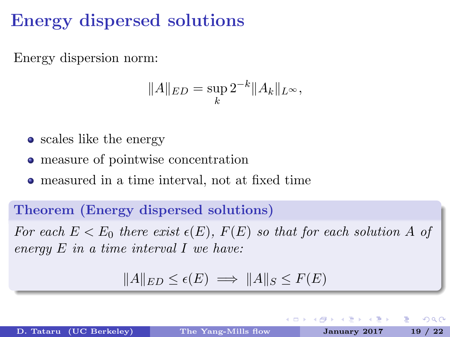# Energy dispersed solutions

Energy dispersion norm:

$$
||A||_{ED} = \sup_{k} 2^{-k} ||A_k||_{L^{\infty}},
$$

- scales like the energy
- measure of pointwise concentration
- measured in a time interval, not at fixed time

### Theorem (Energy dispersed solutions)

For each  $E < E_0$  there exist  $\epsilon(E)$ ,  $F(E)$  so that for each solution A of energy  $E$  in a time interval  $I$  we have:

$$
||A||_{ED} \le \epsilon(E) \implies ||A||_S \le F(E)
$$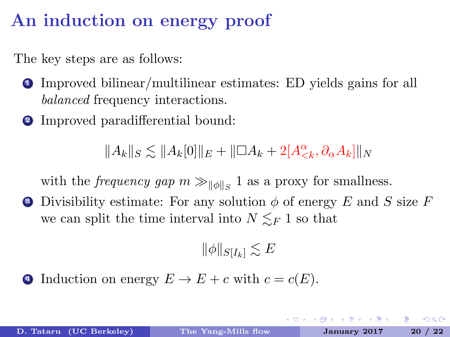# An induction on energy proof

The key steps are as follows:

- <sup>1</sup> Improved bilinear/multilinear estimates: ED yields gains for all balanced frequency interactions.
- <sup>2</sup> Improved paradifferential bound:

 $||A_k||_S \lesssim ||A_k[0]||_E + ||\Box A_k + 2[A_{\lt k}^{\alpha}, \partial_{\alpha}A_k]||_N$ 

with the *frequency gap*  $m \gg_{\|\phi\|_S} 1$  as a proxy for smallness.

• Divisibility estimate: For any solution  $\phi$  of energy E and S size F we can split the time interval into  $N \leq_F 1$  so that

$$
\|\phi\|_{S[I_k]} \lesssim E
$$

4 Induction on energy  $E \to E + c$  with  $c = c(E)$ .